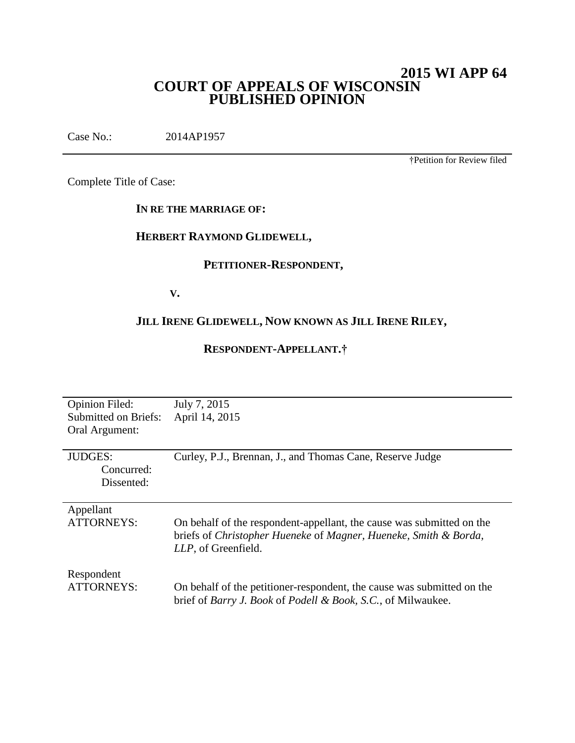# **2015 WI APP 64 COURT OF APPEALS OF WISCONSIN PUBLISHED OPINION**

Case No.: 2014AP1957

†Petition for Review filed

Complete Title of Case:

# **IN RE THE MARRIAGE OF:**

# **HERBERT RAYMOND GLIDEWELL,**

# **PETITIONER-RESPONDENT,**

**V.**

# **JILL IRENE GLIDEWELL, NOW KNOWN AS JILL IRENE RILEY,**

# **RESPONDENT-APPELLANT.†**

| <b>Opinion Filed:</b><br><b>Submitted on Briefs:</b><br>Oral Argument: | July 7, 2015<br>April 14, 2015                                                                                                                                   |
|------------------------------------------------------------------------|------------------------------------------------------------------------------------------------------------------------------------------------------------------|
| <b>JUDGES:</b><br>Concurred:<br>Dissented:                             | Curley, P.J., Brennan, J., and Thomas Cane, Reserve Judge                                                                                                        |
| Appellant<br><b>ATTORNEYS:</b>                                         | On behalf of the respondent-appellant, the cause was submitted on the<br>briefs of Christopher Hueneke of Magner, Hueneke, Smith & Borda,<br>LLP, of Greenfield. |
| Respondent<br><b>ATTORNEYS:</b>                                        | On behalf of the petitioner-respondent, the cause was submitted on the<br>brief of <i>Barry J. Book</i> of <i>Podell &amp; Book, S.C.</i> , of Milwaukee.        |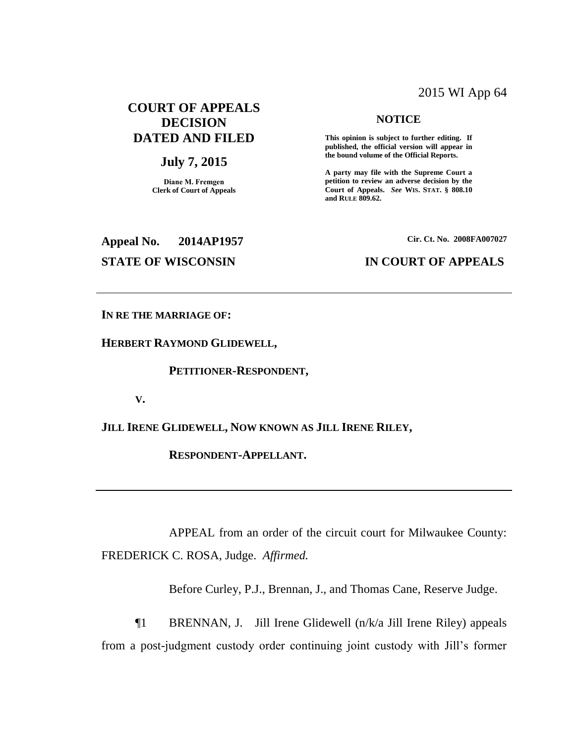# 2015 WI App 64

# **COURT OF APPEALS DECISION DATED AND FILED**

# **July 7, 2015**

**Diane M. Fremgen Clerk of Court of Appeals**

#### **NOTICE**

**This opinion is subject to further editing. If published, the official version will appear in the bound volume of the Official Reports.** 

**A party may file with the Supreme Court a petition to review an adverse decision by the Court of Appeals.** *See* **WIS. STAT. § 808.10 and RULE 809.62.** 

# **Appeal No. 2014AP1957 Cir. Ct. No. 2008FA007027**

## **STATE OF WISCONSIN IN COURT OF APPEALS**

**IN RE THE MARRIAGE OF:**

**HERBERT RAYMOND GLIDEWELL,**

**PETITIONER-RESPONDENT,**

**V.**

**JILL IRENE GLIDEWELL, NOW KNOWN AS JILL IRENE RILEY,**

**RESPONDENT-APPELLANT.**

APPEAL from an order of the circuit court for Milwaukee County: FREDERICK C. ROSA, Judge. *Affirmed.*

Before Curley, P.J., Brennan, J., and Thomas Cane, Reserve Judge.

¶1 BRENNAN, J. Jill Irene Glidewell (n/k/a Jill Irene Riley) appeals from a post-judgment custody order continuing joint custody with Jill's former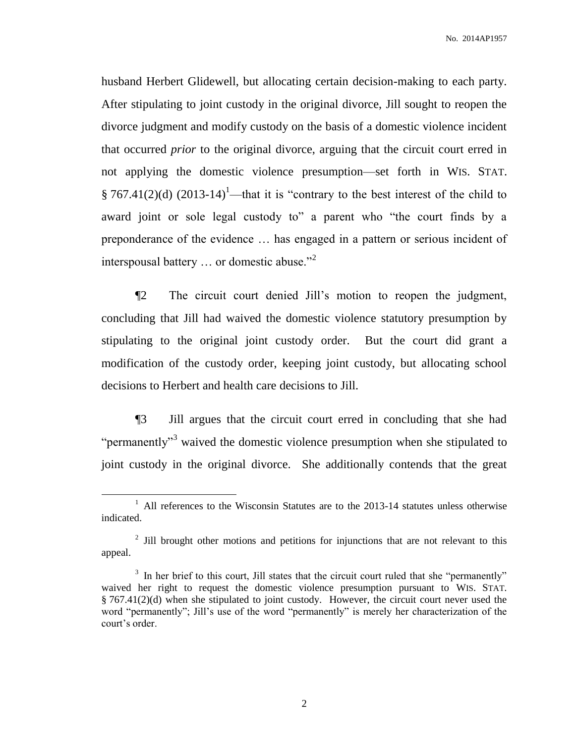husband Herbert Glidewell, but allocating certain decision-making to each party. After stipulating to joint custody in the original divorce, Jill sought to reopen the divorce judgment and modify custody on the basis of a domestic violence incident that occurred *prior* to the original divorce, arguing that the circuit court erred in not applying the domestic violence presumption—set forth in WIS. STAT. § 767.41(2)(d) (2013-14)<sup>1</sup>—that it is "contrary to the best interest of the child to award joint or sole legal custody to" a parent who "the court finds by a preponderance of the evidence … has engaged in a pattern or serious incident of interspousal battery … or domestic abuse."<sup>2</sup>

¶2 The circuit court denied Jill's motion to reopen the judgment, concluding that Jill had waived the domestic violence statutory presumption by stipulating to the original joint custody order. But the court did grant a modification of the custody order, keeping joint custody, but allocating school decisions to Herbert and health care decisions to Jill.

¶3 Jill argues that the circuit court erred in concluding that she had "permanently"<sup>3</sup> waived the domestic violence presumption when she stipulated to joint custody in the original divorce. She additionally contends that the great

<sup>&</sup>lt;sup>1</sup> All references to the Wisconsin Statutes are to the 2013-14 statutes unless otherwise indicated.

 $2$  Jill brought other motions and petitions for injunctions that are not relevant to this appeal.

<sup>&</sup>lt;sup>3</sup> In her brief to this court, Jill states that the circuit court ruled that she "permanently" waived her right to request the domestic violence presumption pursuant to WIS. STAT.  $§ 767.41(2)(d)$  when she stipulated to joint custody. However, the circuit court never used the word "permanently"; Jill's use of the word "permanently" is merely her characterization of the court's order.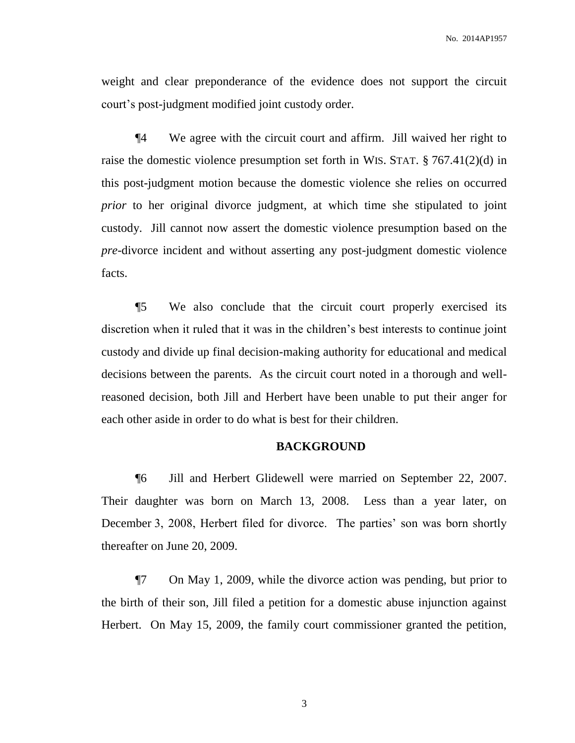weight and clear preponderance of the evidence does not support the circuit court's post-judgment modified joint custody order.

¶4 We agree with the circuit court and affirm. Jill waived her right to raise the domestic violence presumption set forth in WIS. STAT. § 767.41(2)(d) in this post-judgment motion because the domestic violence she relies on occurred *prior* to her original divorce judgment, at which time she stipulated to joint custody. Jill cannot now assert the domestic violence presumption based on the *pre*-divorce incident and without asserting any post-judgment domestic violence facts.

¶5 We also conclude that the circuit court properly exercised its discretion when it ruled that it was in the children's best interests to continue joint custody and divide up final decision-making authority for educational and medical decisions between the parents. As the circuit court noted in a thorough and wellreasoned decision, both Jill and Herbert have been unable to put their anger for each other aside in order to do what is best for their children.

### **BACKGROUND**

¶6 Jill and Herbert Glidewell were married on September 22, 2007. Their daughter was born on March 13, 2008. Less than a year later, on December 3, 2008, Herbert filed for divorce. The parties' son was born shortly thereafter on June 20, 2009.

¶7 On May 1, 2009, while the divorce action was pending, but prior to the birth of their son, Jill filed a petition for a domestic abuse injunction against Herbert. On May 15, 2009, the family court commissioner granted the petition,

3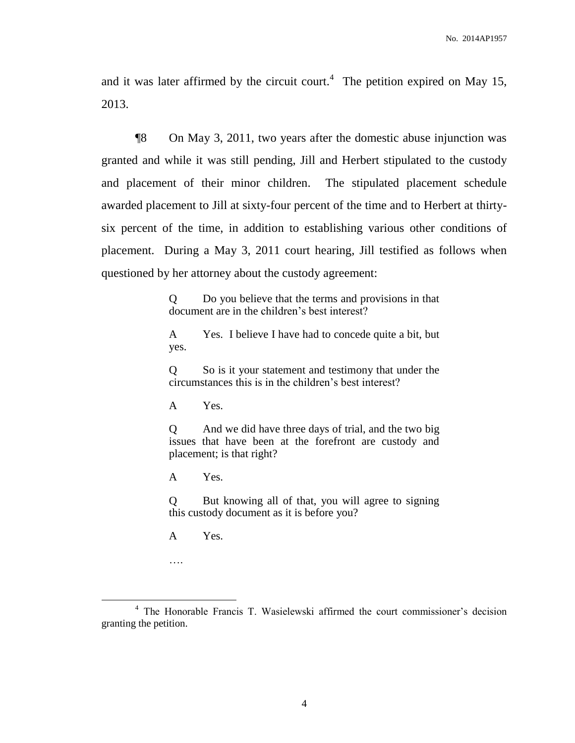and it was later affirmed by the circuit court.<sup>4</sup> The petition expired on May 15, 2013.

¶8 On May 3, 2011, two years after the domestic abuse injunction was granted and while it was still pending, Jill and Herbert stipulated to the custody and placement of their minor children. The stipulated placement schedule awarded placement to Jill at sixty-four percent of the time and to Herbert at thirtysix percent of the time, in addition to establishing various other conditions of placement. During a May 3, 2011 court hearing, Jill testified as follows when questioned by her attorney about the custody agreement:

> Q Do you believe that the terms and provisions in that document are in the children's best interest?

> A Yes. I believe I have had to concede quite a bit, but yes.

> Q So is it your statement and testimony that under the circumstances this is in the children's best interest?

A Yes.

Q And we did have three days of trial, and the two big issues that have been at the forefront are custody and placement; is that right?

A Yes.

Q But knowing all of that, you will agree to signing this custody document as it is before you?

A Yes.

….

<sup>4</sup> The Honorable Francis T. Wasielewski affirmed the court commissioner's decision granting the petition.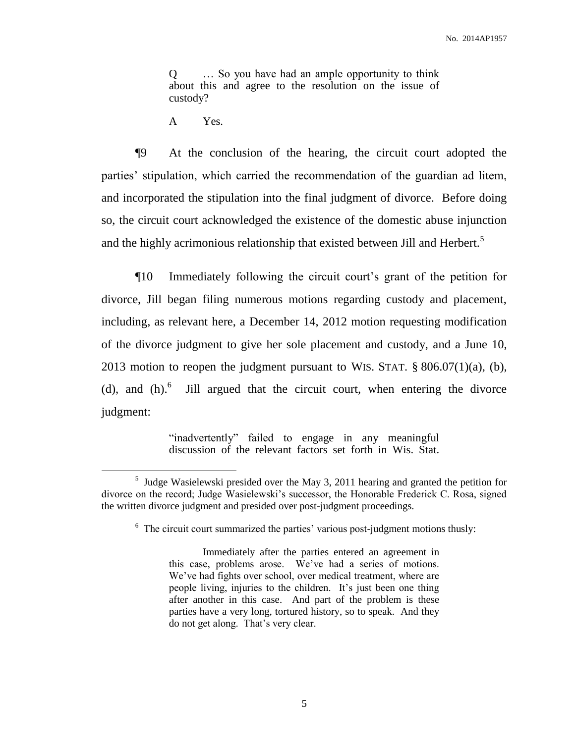Q … So you have had an ample opportunity to think about this and agree to the resolution on the issue of custody?

A Yes.

 $\overline{a}$ 

¶9 At the conclusion of the hearing, the circuit court adopted the parties' stipulation, which carried the recommendation of the guardian ad litem, and incorporated the stipulation into the final judgment of divorce. Before doing so, the circuit court acknowledged the existence of the domestic abuse injunction and the highly acrimonious relationship that existed between Jill and Herbert.<sup>5</sup>

¶10 Immediately following the circuit court's grant of the petition for divorce, Jill began filing numerous motions regarding custody and placement, including, as relevant here, a December 14, 2012 motion requesting modification of the divorce judgment to give her sole placement and custody, and a June 10, 2013 motion to reopen the judgment pursuant to WIS. STAT.  $\S$  806.07(1)(a), (b), (d), and  $(h)$ .<sup>6</sup> Jill argued that the circuit court, when entering the divorce judgment:

> "inadvertently" failed to engage in any meaningful discussion of the relevant factors set forth in Wis. Stat.

<sup>&</sup>lt;sup>5</sup> Judge Wasielewski presided over the May 3, 2011 hearing and granted the petition for divorce on the record; Judge Wasielewski's successor, the Honorable Frederick C. Rosa, signed the written divorce judgment and presided over post-judgment proceedings.

<sup>&</sup>lt;sup>6</sup> The circuit court summarized the parties' various post-judgment motions thusly:

Immediately after the parties entered an agreement in this case, problems arose. We've had a series of motions. We've had fights over school, over medical treatment, where are people living, injuries to the children. It's just been one thing after another in this case. And part of the problem is these parties have a very long, tortured history, so to speak. And they do not get along. That's very clear.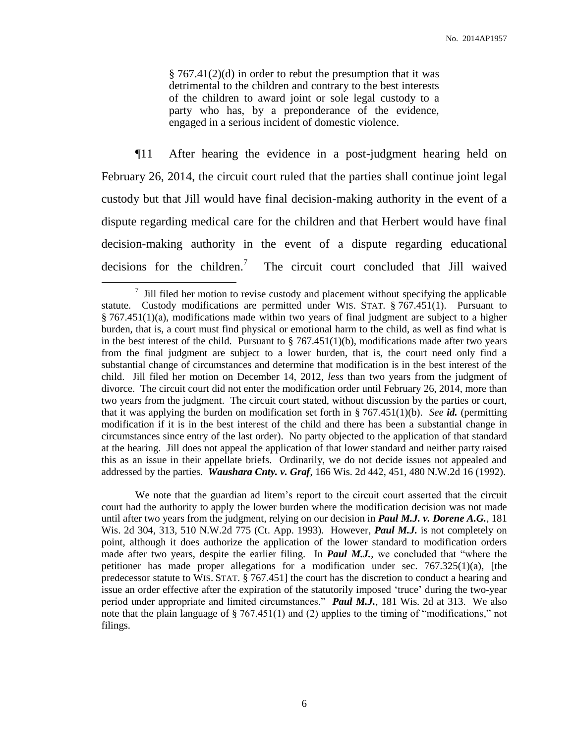§ 767.41(2)(d) in order to rebut the presumption that it was detrimental to the children and contrary to the best interests of the children to award joint or sole legal custody to a party who has, by a preponderance of the evidence, engaged in a serious incident of domestic violence.

¶11 After hearing the evidence in a post-judgment hearing held on February 26, 2014, the circuit court ruled that the parties shall continue joint legal custody but that Jill would have final decision-making authority in the event of a dispute regarding medical care for the children and that Herbert would have final decision-making authority in the event of a dispute regarding educational decisions for the children.<sup>7</sup> The circuit court concluded that Jill waived

 $\overline{a}$ 

We note that the guardian ad litem's report to the circuit court asserted that the circuit court had the authority to apply the lower burden where the modification decision was not made until after two years from the judgment, relying on our decision in *Paul M.J. v. Dorene A.G.*, 181 Wis. 2d 304, 313, 510 N.W.2d 775 (Ct. App. 1993). However, *Paul M.J.* is not completely on point, although it does authorize the application of the lower standard to modification orders made after two years, despite the earlier filing. In **Paul M.J.**, we concluded that "where the petitioner has made proper allegations for a modification under sec.  $767.325(1)(a)$ , [the predecessor statute to WIS. STAT. § 767.451] the court has the discretion to conduct a hearing and issue an order effective after the expiration of the statutorily imposed 'truce' during the two-year period under appropriate and limited circumstances." *Paul M.J.*, 181 Wis. 2d at 313. We also note that the plain language of § 767.451(1) and (2) applies to the timing of "modifications," not filings.

 $\frac{7}{1}$  Jill filed her motion to revise custody and placement without specifying the applicable statute. Custody modifications are permitted under WIS. STAT.  $\S 767.451(1)$ . Pursuant to  $§$  767.451(1)(a), modifications made within two years of final judgment are subject to a higher burden, that is, a court must find physical or emotional harm to the child, as well as find what is in the best interest of the child. Pursuant to  $\S$  767.451(1)(b), modifications made after two years from the final judgment are subject to a lower burden, that is, the court need only find a substantial change of circumstances and determine that modification is in the best interest of the child. Jill filed her motion on December 14, 2012, *less* than two years from the judgment of divorce. The circuit court did not enter the modification order until February 26, 2014, more than two years from the judgment. The circuit court stated, without discussion by the parties or court, that it was applying the burden on modification set forth in § 767.451(1)(b). *See id.* (permitting modification if it is in the best interest of the child and there has been a substantial change in circumstances since entry of the last order). No party objected to the application of that standard at the hearing. Jill does not appeal the application of that lower standard and neither party raised this as an issue in their appellate briefs. Ordinarily, we do not decide issues not appealed and addressed by the parties. *Waushara Cnty. v. Graf*, 166 Wis. 2d 442, 451, 480 N.W.2d 16 (1992).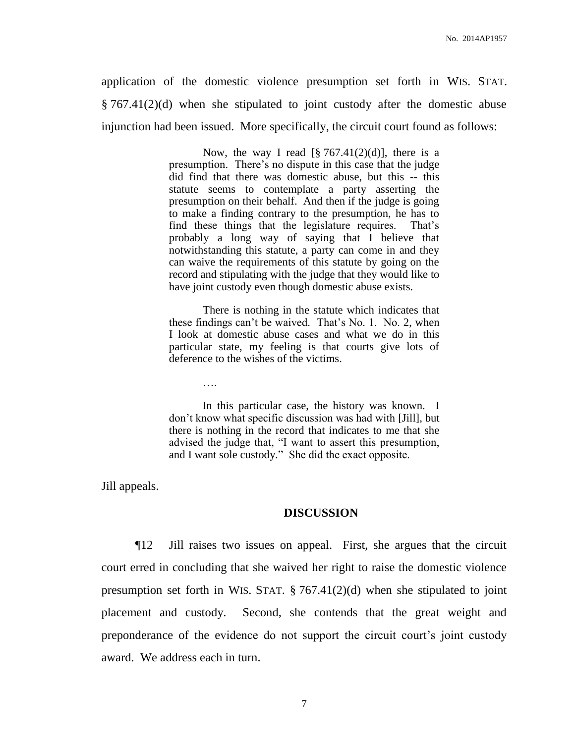application of the domestic violence presumption set forth in WIS. STAT. § 767.41(2)(d) when she stipulated to joint custody after the domestic abuse injunction had been issued. More specifically, the circuit court found as follows:

> Now, the way I read  $\lceil \frac{8}{9} \cdot 767.41(2)(d) \rceil$ , there is a presumption. There's no dispute in this case that the judge did find that there was domestic abuse, but this -- this statute seems to contemplate a party asserting the presumption on their behalf. And then if the judge is going to make a finding contrary to the presumption, he has to find these things that the legislature requires. That's probably a long way of saying that I believe that notwithstanding this statute, a party can come in and they can waive the requirements of this statute by going on the record and stipulating with the judge that they would like to have joint custody even though domestic abuse exists.

> There is nothing in the statute which indicates that these findings can't be waived. That's No. 1. No. 2, when I look at domestic abuse cases and what we do in this particular state, my feeling is that courts give lots of deference to the wishes of the victims.

> In this particular case, the history was known. I don't know what specific discussion was had with [Jill], but there is nothing in the record that indicates to me that she advised the judge that, "I want to assert this presumption, and I want sole custody." She did the exact opposite.

Jill appeals.

….

#### **DISCUSSION**

¶12 Jill raises two issues on appeal. First, she argues that the circuit court erred in concluding that she waived her right to raise the domestic violence presumption set forth in WIS. STAT.  $\S 767.41(2)(d)$  when she stipulated to joint placement and custody. Second, she contends that the great weight and preponderance of the evidence do not support the circuit court's joint custody award. We address each in turn.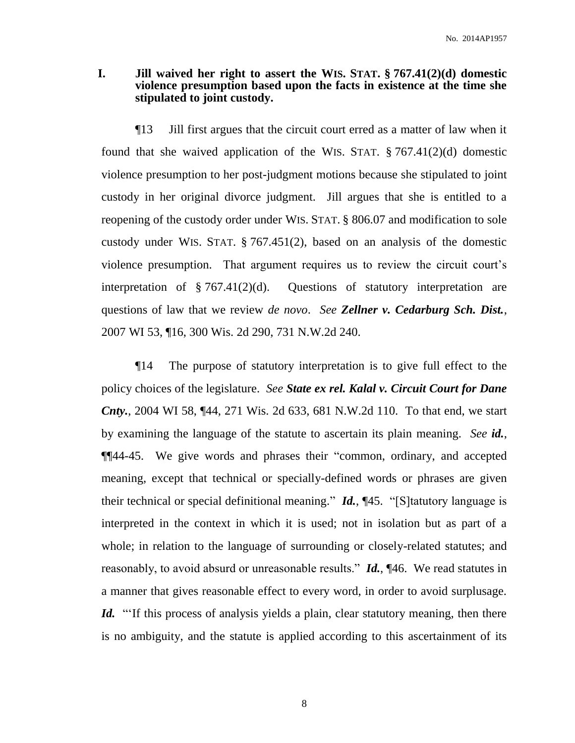# **I. Jill waived her right to assert the WIS. STAT. § 767.41(2)(d) domestic violence presumption based upon the facts in existence at the time she stipulated to joint custody.**

¶13 Jill first argues that the circuit court erred as a matter of law when it found that she waived application of the WIS. STAT.  $\S 767.41(2)(d)$  domestic violence presumption to her post-judgment motions because she stipulated to joint custody in her original divorce judgment. Jill argues that she is entitled to a reopening of the custody order under WIS. STAT. § 806.07 and modification to sole custody under WIS. STAT. § 767.451(2), based on an analysis of the domestic violence presumption. That argument requires us to review the circuit court's interpretation of  $\S 767.41(2)(d)$ . Questions of statutory interpretation are questions of law that we review *de novo*. *See Zellner v. Cedarburg Sch. Dist.*, 2007 WI 53, ¶16, 300 Wis. 2d 290, 731 N.W.2d 240.

¶14 The purpose of statutory interpretation is to give full effect to the policy choices of the legislature. *See State ex rel. Kalal v. Circuit Court for Dane Cnty.*, 2004 WI 58, ¶44, 271 Wis. 2d 633, 681 N.W.2d 110. To that end, we start by examining the language of the statute to ascertain its plain meaning. *See id.*, ¶¶44-45. We give words and phrases their "common, ordinary, and accepted meaning, except that technical or specially-defined words or phrases are given their technical or special definitional meaning." *Id.*, ¶45. "[S]tatutory language is interpreted in the context in which it is used; not in isolation but as part of a whole; in relation to the language of surrounding or closely-related statutes; and reasonably, to avoid absurd or unreasonable results." *Id.*, ¶46. We read statutes in a manner that gives reasonable effect to every word, in order to avoid surplusage. Id. "If this process of analysis yields a plain, clear statutory meaning, then there is no ambiguity, and the statute is applied according to this ascertainment of its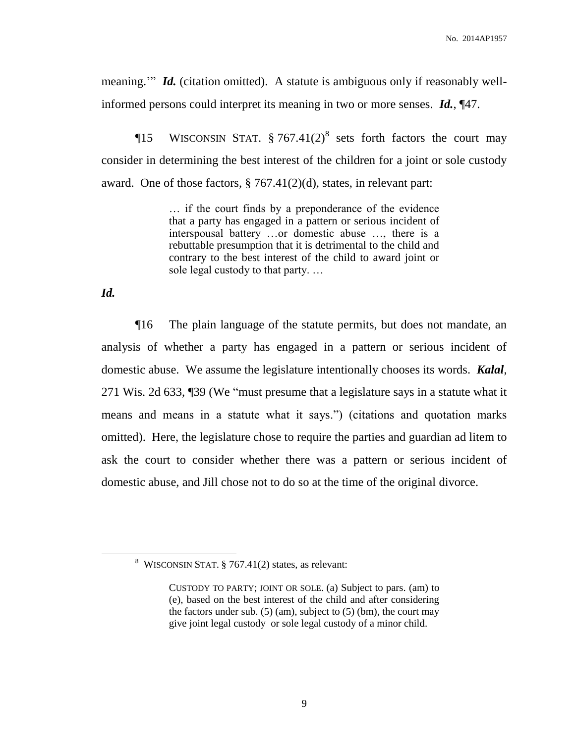meaning." *Id.* (citation omitted). A statute is ambiguous only if reasonably wellinformed persons could interpret its meaning in two or more senses. *Id.*, ¶47.

**The SE WISCONSIN STAT.**  $\S 767.41(2)^8$  sets forth factors the court may consider in determining the best interest of the children for a joint or sole custody award. One of those factors,  $\S 767.41(2)(d)$ , states, in relevant part:

> … if the court finds by a preponderance of the evidence that a party has engaged in a pattern or serious incident of interspousal battery …or domestic abuse …, there is a rebuttable presumption that it is detrimental to the child and contrary to the best interest of the child to award joint or sole legal custody to that party. …

*Id.*

 $\overline{a}$ 

¶16 The plain language of the statute permits, but does not mandate, an analysis of whether a party has engaged in a pattern or serious incident of domestic abuse. We assume the legislature intentionally chooses its words. *Kalal*, 271 Wis. 2d 633, ¶39 (We "must presume that a legislature says in a statute what it means and means in a statute what it says.") (citations and quotation marks omitted). Here, the legislature chose to require the parties and guardian ad litem to ask the court to consider whether there was a pattern or serious incident of domestic abuse, and Jill chose not to do so at the time of the original divorce.

<sup>&</sup>lt;sup>8</sup> WISCONSIN STAT.  $\S$  767.41(2) states, as relevant:

CUSTODY TO PARTY; JOINT OR SOLE. (a) Subject to pars. (am) to (e), based on the best interest of the child and after considering the factors under sub.  $(5)$  (am), subject to  $(5)$  (bm), the court may give joint legal custody or sole legal custody of a minor child.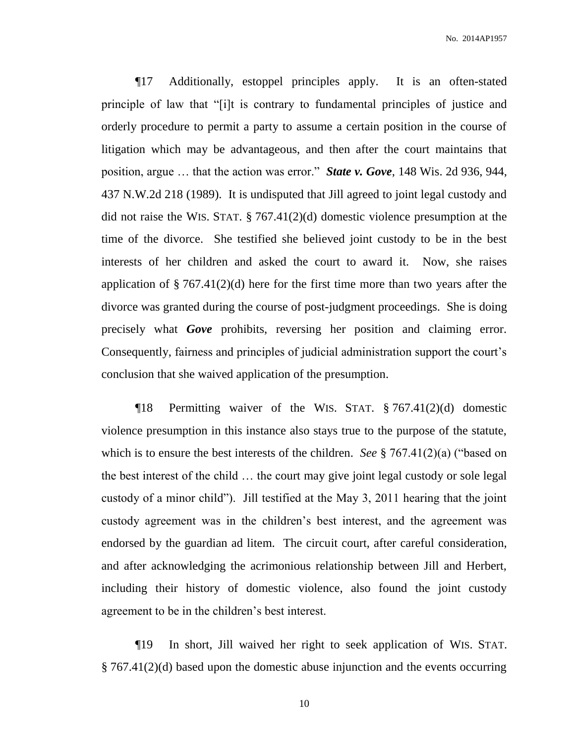¶17 Additionally, estoppel principles apply. It is an often-stated principle of law that "[i]t is contrary to fundamental principles of justice and orderly procedure to permit a party to assume a certain position in the course of litigation which may be advantageous, and then after the court maintains that position, argue … that the action was error." *State v. Gove*, 148 Wis. 2d 936, 944, 437 N.W.2d 218 (1989). It is undisputed that Jill agreed to joint legal custody and did not raise the WIS. STAT. § 767.41(2)(d) domestic violence presumption at the time of the divorce. She testified she believed joint custody to be in the best interests of her children and asked the court to award it. Now, she raises application of  $\S 767.41(2)(d)$  here for the first time more than two years after the divorce was granted during the course of post-judgment proceedings. She is doing precisely what *Gove* prohibits, reversing her position and claiming error. Consequently, fairness and principles of judicial administration support the court's conclusion that she waived application of the presumption.

¶18 Permitting waiver of the WIS. STAT. § 767.41(2)(d) domestic violence presumption in this instance also stays true to the purpose of the statute, which is to ensure the best interests of the children. *See* § 767.41(2)(a) ("based on the best interest of the child … the court may give joint legal custody or sole legal custody of a minor child"). Jill testified at the May 3, 2011 hearing that the joint custody agreement was in the children's best interest, and the agreement was endorsed by the guardian ad litem. The circuit court, after careful consideration, and after acknowledging the acrimonious relationship between Jill and Herbert, including their history of domestic violence, also found the joint custody agreement to be in the children's best interest.

¶19 In short, Jill waived her right to seek application of WIS. STAT. § 767.41(2)(d) based upon the domestic abuse injunction and the events occurring

10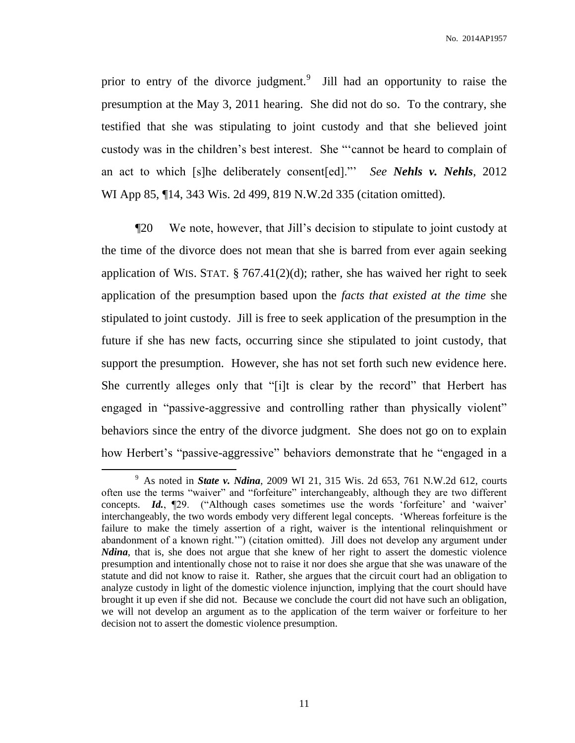prior to entry of the divorce judgment.<sup>9</sup> Jill had an opportunity to raise the presumption at the May 3, 2011 hearing. She did not do so. To the contrary, she testified that she was stipulating to joint custody and that she believed joint custody was in the children's best interest. She "'cannot be heard to complain of an act to which [s]he deliberately consent[ed]."' *See Nehls v. Nehls*, 2012 WI App 85, ¶14, 343 Wis. 2d 499, 819 N.W.2d 335 (citation omitted).

¶20 We note, however, that Jill's decision to stipulate to joint custody at the time of the divorce does not mean that she is barred from ever again seeking application of WIS. STAT.  $\S 767.41(2)(d)$ ; rather, she has waived her right to seek application of the presumption based upon the *facts that existed at the time* she stipulated to joint custody. Jill is free to seek application of the presumption in the future if she has new facts, occurring since she stipulated to joint custody, that support the presumption. However, she has not set forth such new evidence here. She currently alleges only that "[i]t is clear by the record" that Herbert has engaged in "passive-aggressive and controlling rather than physically violent" behaviors since the entry of the divorce judgment. She does not go on to explain how Herbert's "passive-aggressive" behaviors demonstrate that he "engaged in a

<sup>9</sup> As noted in *State v. Ndina*, 2009 WI 21, 315 Wis. 2d 653, 761 N.W.2d 612, courts often use the terms "waiver" and "forfeiture" interchangeably, although they are two different concepts. *Id.*, ¶29. ("Although cases sometimes use the words 'forfeiture' and 'waiver' interchangeably, the two words embody very different legal concepts. 'Whereas forfeiture is the failure to make the timely assertion of a right, waiver is the intentional relinquishment or abandonment of a known right.'") (citation omitted). Jill does not develop any argument under *Ndina*, that is, she does not argue that she knew of her right to assert the domestic violence presumption and intentionally chose not to raise it nor does she argue that she was unaware of the statute and did not know to raise it. Rather, she argues that the circuit court had an obligation to analyze custody in light of the domestic violence injunction, implying that the court should have brought it up even if she did not. Because we conclude the court did not have such an obligation, we will not develop an argument as to the application of the term waiver or forfeiture to her decision not to assert the domestic violence presumption.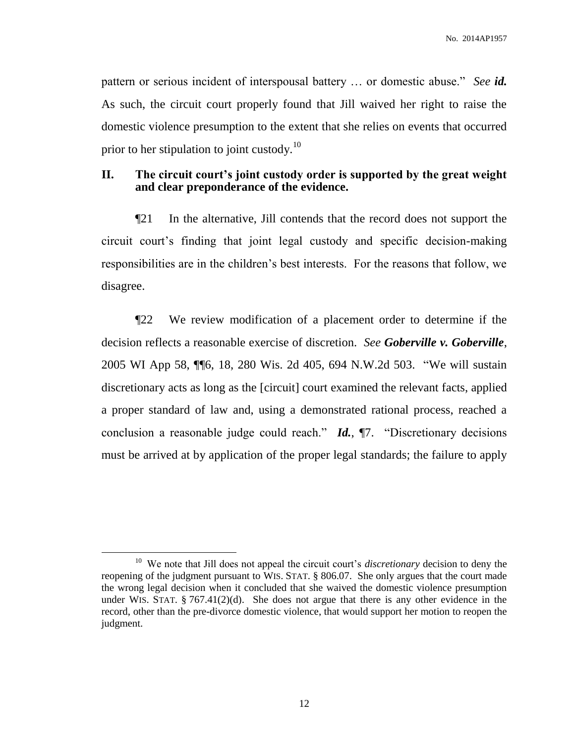pattern or serious incident of interspousal battery … or domestic abuse." *See id.* As such, the circuit court properly found that Jill waived her right to raise the domestic violence presumption to the extent that she relies on events that occurred prior to her stipulation to joint custody.<sup>10</sup>

# **II. The circuit court's joint custody order is supported by the great weight and clear preponderance of the evidence.**

¶21 In the alternative, Jill contends that the record does not support the circuit court's finding that joint legal custody and specific decision-making responsibilities are in the children's best interests. For the reasons that follow, we disagree.

¶22 We review modification of a placement order to determine if the decision reflects a reasonable exercise of discretion. *See Goberville v. Goberville*, 2005 WI App 58, ¶¶6, 18, 280 Wis. 2d 405, 694 N.W.2d 503. "We will sustain discretionary acts as long as the [circuit] court examined the relevant facts, applied a proper standard of law and, using a demonstrated rational process, reached a conclusion a reasonable judge could reach." *Id.*, ¶7. "Discretionary decisions must be arrived at by application of the proper legal standards; the failure to apply

<sup>&</sup>lt;sup>10</sup> We note that Jill does not appeal the circuit court's *discretionary* decision to deny the reopening of the judgment pursuant to WIS. STAT. § 806.07. She only argues that the court made the wrong legal decision when it concluded that she waived the domestic violence presumption under WIS. STAT.  $\S$  767.41(2)(d). She does not argue that there is any other evidence in the record, other than the pre-divorce domestic violence, that would support her motion to reopen the judgment.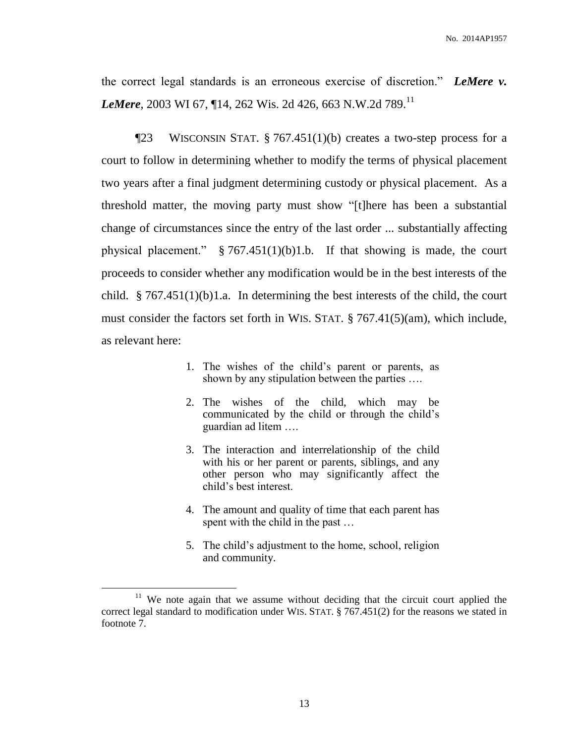the correct legal standards is an erroneous exercise of discretion." *LeMere v. LeMere*, 2003 WI 67, ¶14, 262 Wis. 2d 426, 663 N.W.2d 789.<sup>11</sup>

¶23 WISCONSIN STAT. § 767.451(1)(b) creates a two-step process for a court to follow in determining whether to modify the terms of physical placement two years after a final judgment determining custody or physical placement. As a threshold matter, the moving party must show "[t]here has been a substantial change of circumstances since the entry of the last order ... substantially affecting physical placement."  $§ 767.451(1)(b)1.b.$  If that showing is made, the court proceeds to consider whether any modification would be in the best interests of the child. § 767.451(1)(b)1.a. In determining the best interests of the child, the court must consider the factors set forth in WIS. STAT. § 767.41(5)(am), which include, as relevant here:

- 1. The wishes of the child's parent or parents, as shown by any stipulation between the parties ….
- 2. The wishes of the child, which may be communicated by the child or through the child's guardian ad litem ….
- 3. The interaction and interrelationship of the child with his or her parent or parents, siblings, and any other person who may significantly affect the child's best interest.
- 4. The amount and quality of time that each parent has spent with the child in the past …
- 5. The child's adjustment to the home, school, religion and community.

<sup>&</sup>lt;sup>11</sup> We note again that we assume without deciding that the circuit court applied the correct legal standard to modification under WIS. STAT. § 767.451(2) for the reasons we stated in footnote 7.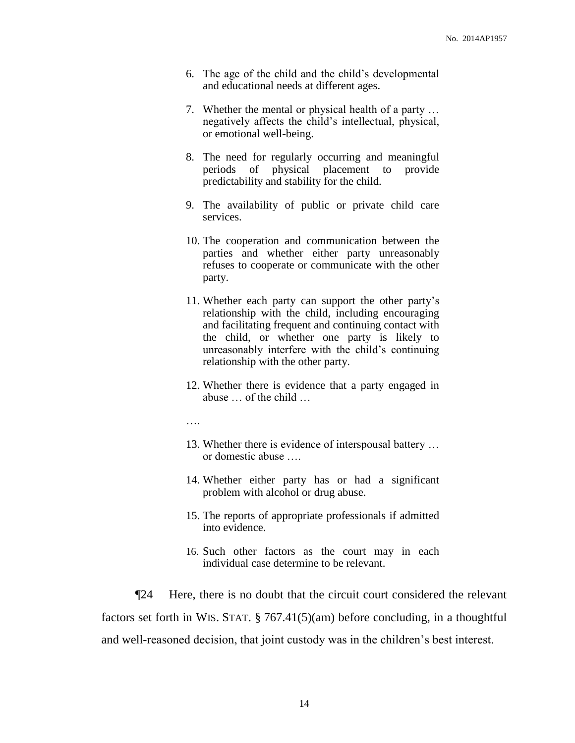- 6. The age of the child and the child's developmental and educational needs at different ages.
- 7. Whether the mental or physical health of a party … negatively affects the child's intellectual, physical, or emotional well-being.
- 8. The need for regularly occurring and meaningful periods of physical placement to provide predictability and stability for the child.
- 9. The availability of public or private child care services.
- 10. The cooperation and communication between the parties and whether either party unreasonably refuses to cooperate or communicate with the other party.
- 11. Whether each party can support the other party's relationship with the child, including encouraging and facilitating frequent and continuing contact with the child, or whether one party is likely to unreasonably interfere with the child's continuing relationship with the other party.
- 12. Whether there is evidence that a party engaged in abuse … of the child …

….

- 13. Whether there is evidence of interspousal battery … or domestic abuse
- 14. Whether either party has or had a significant problem with alcohol or drug abuse.
- 15. The reports of appropriate professionals if admitted into evidence.
- 16. Such other factors as the court may in each individual case determine to be relevant.

¶24 Here, there is no doubt that the circuit court considered the relevant factors set forth in WIS. STAT. § 767.41(5)(am) before concluding, in a thoughtful and well-reasoned decision, that joint custody was in the children's best interest.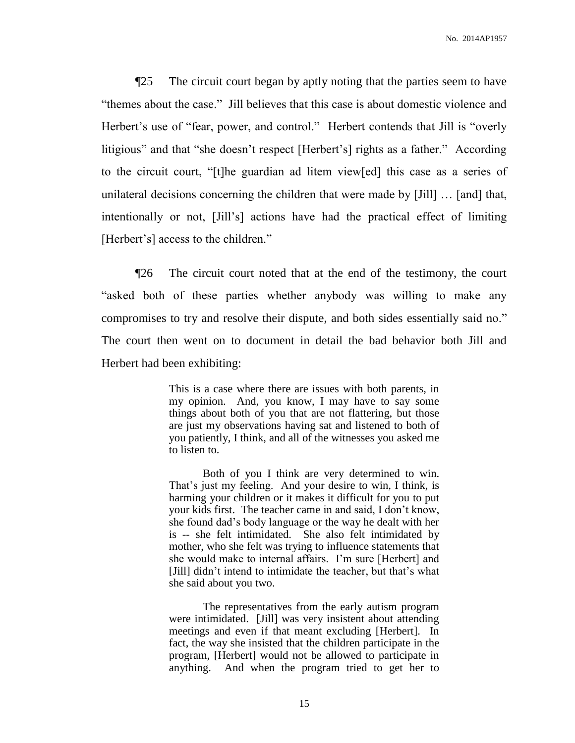¶25 The circuit court began by aptly noting that the parties seem to have "themes about the case." Jill believes that this case is about domestic violence and Herbert's use of "fear, power, and control." Herbert contends that Jill is "overly litigious" and that "she doesn't respect [Herbert's] rights as a father." According to the circuit court, "[t]he guardian ad litem view[ed] this case as a series of unilateral decisions concerning the children that were made by [Jill] … [and] that, intentionally or not, [Jill's] actions have had the practical effect of limiting [Herbert's] access to the children."

¶26 The circuit court noted that at the end of the testimony, the court "asked both of these parties whether anybody was willing to make any compromises to try and resolve their dispute, and both sides essentially said no." The court then went on to document in detail the bad behavior both Jill and Herbert had been exhibiting:

> This is a case where there are issues with both parents, in my opinion. And, you know, I may have to say some things about both of you that are not flattering, but those are just my observations having sat and listened to both of you patiently, I think, and all of the witnesses you asked me to listen to.

> Both of you I think are very determined to win. That's just my feeling. And your desire to win, I think, is harming your children or it makes it difficult for you to put your kids first. The teacher came in and said, I don't know, she found dad's body language or the way he dealt with her is -- she felt intimidated. She also felt intimidated by mother, who she felt was trying to influence statements that she would make to internal affairs. I'm sure [Herbert] and [Jill] didn't intend to intimidate the teacher, but that's what she said about you two.

> The representatives from the early autism program were intimidated. [Jill] was very insistent about attending meetings and even if that meant excluding [Herbert]. In fact, the way she insisted that the children participate in the program, [Herbert] would not be allowed to participate in anything. And when the program tried to get her to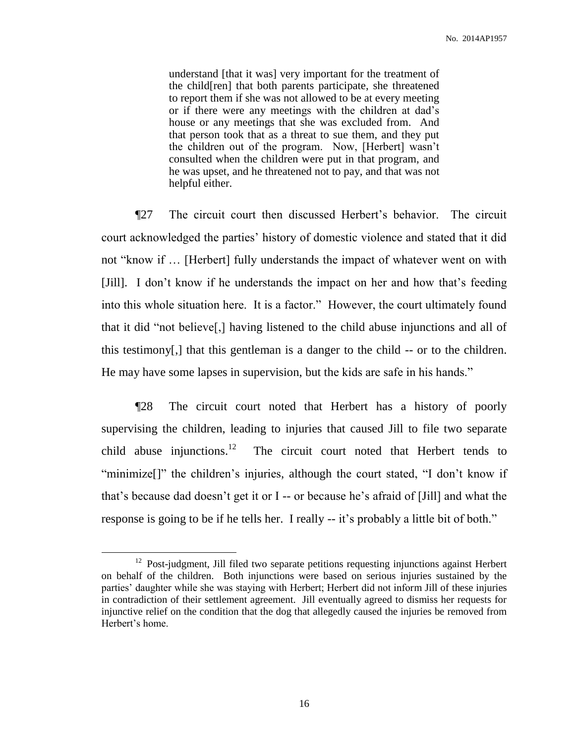understand [that it was] very important for the treatment of the child[ren] that both parents participate, she threatened to report them if she was not allowed to be at every meeting or if there were any meetings with the children at dad's house or any meetings that she was excluded from. And that person took that as a threat to sue them, and they put the children out of the program. Now, [Herbert] wasn't consulted when the children were put in that program, and he was upset, and he threatened not to pay, and that was not helpful either.

¶27 The circuit court then discussed Herbert's behavior. The circuit court acknowledged the parties' history of domestic violence and stated that it did not "know if … [Herbert] fully understands the impact of whatever went on with [Jill]. I don't know if he understands the impact on her and how that's feeding into this whole situation here. It is a factor." However, the court ultimately found that it did "not believe[,] having listened to the child abuse injunctions and all of this testimony[,] that this gentleman is a danger to the child -- or to the children. He may have some lapses in supervision, but the kids are safe in his hands."

¶28 The circuit court noted that Herbert has a history of poorly supervising the children, leading to injuries that caused Jill to file two separate child abuse injunctions.<sup>12</sup> The circuit court noted that Herbert tends to "minimize[]" the children's injuries, although the court stated, "I don't know if that's because dad doesn't get it or I -- or because he's afraid of [Jill] and what the response is going to be if he tells her. I really -- it's probably a little bit of both."

 $12$  Post-judgment, Jill filed two separate petitions requesting injunctions against Herbert on behalf of the children. Both injunctions were based on serious injuries sustained by the parties' daughter while she was staying with Herbert; Herbert did not inform Jill of these injuries in contradiction of their settlement agreement. Jill eventually agreed to dismiss her requests for injunctive relief on the condition that the dog that allegedly caused the injuries be removed from Herbert's home.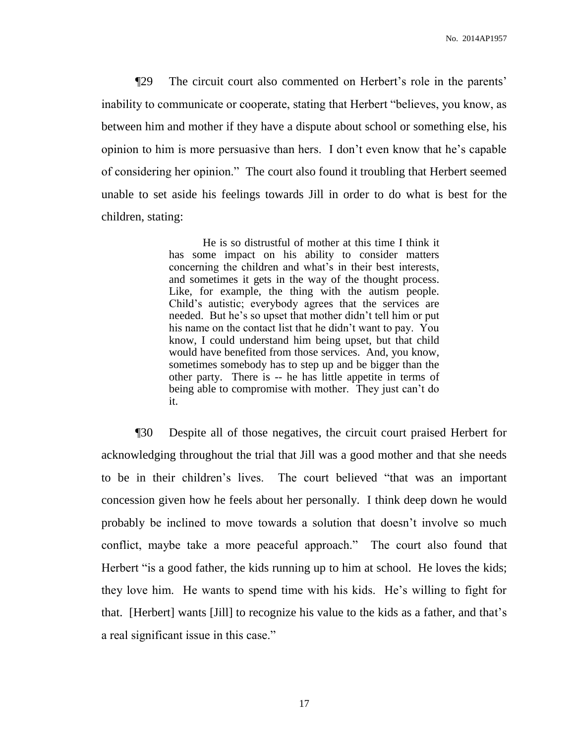¶29 The circuit court also commented on Herbert's role in the parents' inability to communicate or cooperate, stating that Herbert "believes, you know, as between him and mother if they have a dispute about school or something else, his opinion to him is more persuasive than hers. I don't even know that he's capable of considering her opinion." The court also found it troubling that Herbert seemed unable to set aside his feelings towards Jill in order to do what is best for the children, stating:

> He is so distrustful of mother at this time I think it has some impact on his ability to consider matters concerning the children and what's in their best interests, and sometimes it gets in the way of the thought process. Like, for example, the thing with the autism people. Child's autistic; everybody agrees that the services are needed. But he's so upset that mother didn't tell him or put his name on the contact list that he didn't want to pay. You know, I could understand him being upset, but that child would have benefited from those services. And, you know, sometimes somebody has to step up and be bigger than the other party. There is -- he has little appetite in terms of being able to compromise with mother. They just can't do it.

¶30 Despite all of those negatives, the circuit court praised Herbert for acknowledging throughout the trial that Jill was a good mother and that she needs to be in their children's lives. The court believed "that was an important concession given how he feels about her personally. I think deep down he would probably be inclined to move towards a solution that doesn't involve so much conflict, maybe take a more peaceful approach." The court also found that Herbert "is a good father, the kids running up to him at school. He loves the kids; they love him. He wants to spend time with his kids. He's willing to fight for that. [Herbert] wants [Jill] to recognize his value to the kids as a father, and that's a real significant issue in this case."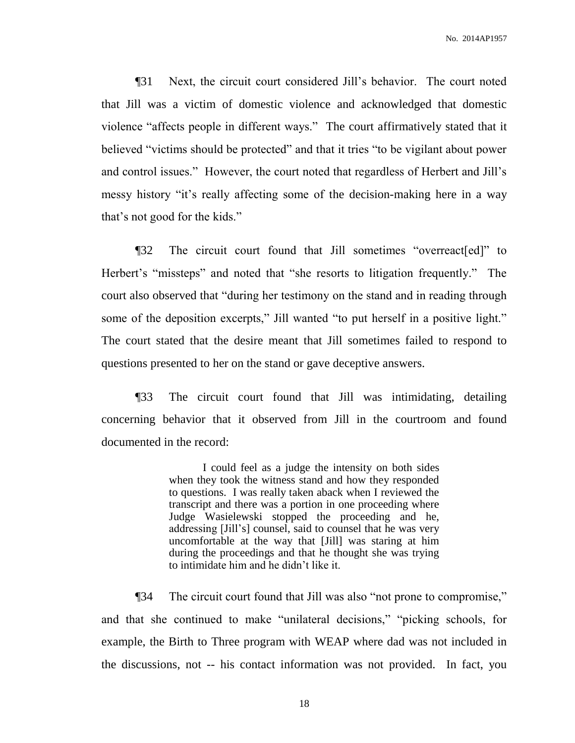¶31 Next, the circuit court considered Jill's behavior. The court noted that Jill was a victim of domestic violence and acknowledged that domestic violence "affects people in different ways." The court affirmatively stated that it believed "victims should be protected" and that it tries "to be vigilant about power and control issues." However, the court noted that regardless of Herbert and Jill's messy history "it's really affecting some of the decision-making here in a way that's not good for the kids."

¶32 The circuit court found that Jill sometimes "overreact[ed]" to Herbert's "missteps" and noted that "she resorts to litigation frequently." The court also observed that "during her testimony on the stand and in reading through some of the deposition excerpts," Jill wanted "to put herself in a positive light." The court stated that the desire meant that Jill sometimes failed to respond to questions presented to her on the stand or gave deceptive answers.

¶33 The circuit court found that Jill was intimidating, detailing concerning behavior that it observed from Jill in the courtroom and found documented in the record:

> I could feel as a judge the intensity on both sides when they took the witness stand and how they responded to questions. I was really taken aback when I reviewed the transcript and there was a portion in one proceeding where Judge Wasielewski stopped the proceeding and he, addressing [Jill's] counsel, said to counsel that he was very uncomfortable at the way that [Jill] was staring at him during the proceedings and that he thought she was trying to intimidate him and he didn't like it.

¶34 The circuit court found that Jill was also "not prone to compromise," and that she continued to make "unilateral decisions," "picking schools, for example, the Birth to Three program with WEAP where dad was not included in the discussions, not -- his contact information was not provided. In fact, you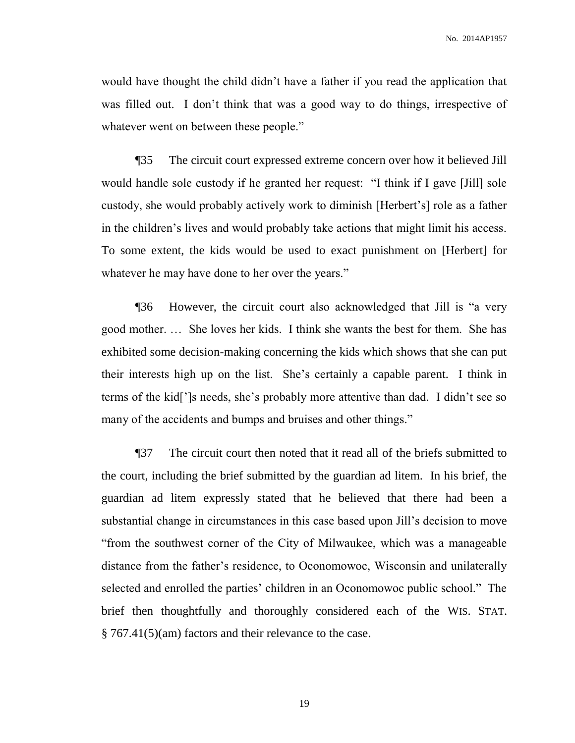would have thought the child didn't have a father if you read the application that was filled out. I don't think that was a good way to do things, irrespective of whatever went on between these people."

¶35 The circuit court expressed extreme concern over how it believed Jill would handle sole custody if he granted her request: "I think if I gave [Jill] sole custody, she would probably actively work to diminish [Herbert's] role as a father in the children's lives and would probably take actions that might limit his access. To some extent, the kids would be used to exact punishment on [Herbert] for whatever he may have done to her over the years."

¶36 However, the circuit court also acknowledged that Jill is "a very good mother. … She loves her kids. I think she wants the best for them. She has exhibited some decision-making concerning the kids which shows that she can put their interests high up on the list. She's certainly a capable parent. I think in terms of the kid[']s needs, she's probably more attentive than dad. I didn't see so many of the accidents and bumps and bruises and other things."

¶37 The circuit court then noted that it read all of the briefs submitted to the court, including the brief submitted by the guardian ad litem. In his brief, the guardian ad litem expressly stated that he believed that there had been a substantial change in circumstances in this case based upon Jill's decision to move "from the southwest corner of the City of Milwaukee, which was a manageable distance from the father's residence, to Oconomowoc, Wisconsin and unilaterally selected and enrolled the parties' children in an Oconomowoc public school." The brief then thoughtfully and thoroughly considered each of the WIS. STAT. § 767.41(5)(am) factors and their relevance to the case.

19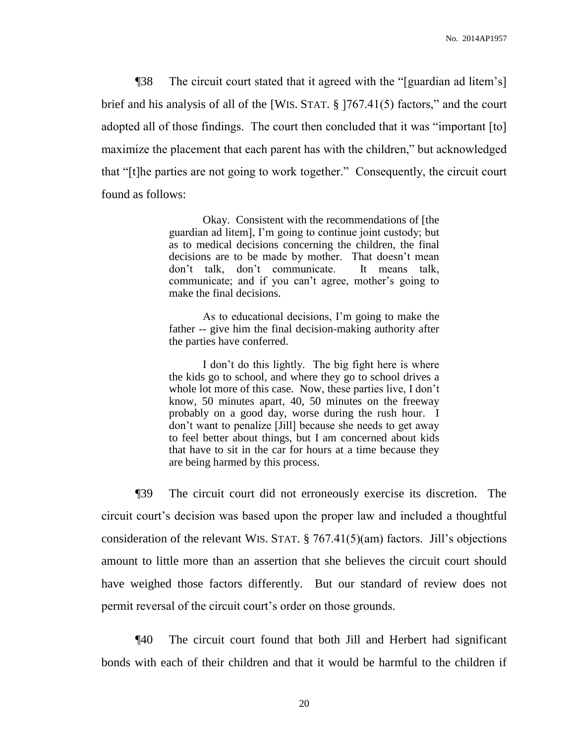¶38 The circuit court stated that it agreed with the "[guardian ad litem's] brief and his analysis of all of the [WIS. STAT. § ]767.41(5) factors," and the court adopted all of those findings. The court then concluded that it was "important [to] maximize the placement that each parent has with the children," but acknowledged that "[t]he parties are not going to work together." Consequently, the circuit court found as follows:

> Okay. Consistent with the recommendations of [the guardian ad litem], I'm going to continue joint custody; but as to medical decisions concerning the children, the final decisions are to be made by mother. That doesn't mean don't talk, don't communicate. It means talk, communicate; and if you can't agree, mother's going to make the final decisions.

> As to educational decisions, I'm going to make the father -- give him the final decision-making authority after the parties have conferred.

> I don't do this lightly. The big fight here is where the kids go to school, and where they go to school drives a whole lot more of this case. Now, these parties live, I don't know, 50 minutes apart, 40, 50 minutes on the freeway probably on a good day, worse during the rush hour. I don't want to penalize [Jill] because she needs to get away to feel better about things, but I am concerned about kids that have to sit in the car for hours at a time because they are being harmed by this process.

¶39 The circuit court did not erroneously exercise its discretion. The circuit court's decision was based upon the proper law and included a thoughtful consideration of the relevant WIS. STAT. § 767.41(5)(am) factors. Jill's objections amount to little more than an assertion that she believes the circuit court should have weighed those factors differently. But our standard of review does not permit reversal of the circuit court's order on those grounds.

¶40 The circuit court found that both Jill and Herbert had significant bonds with each of their children and that it would be harmful to the children if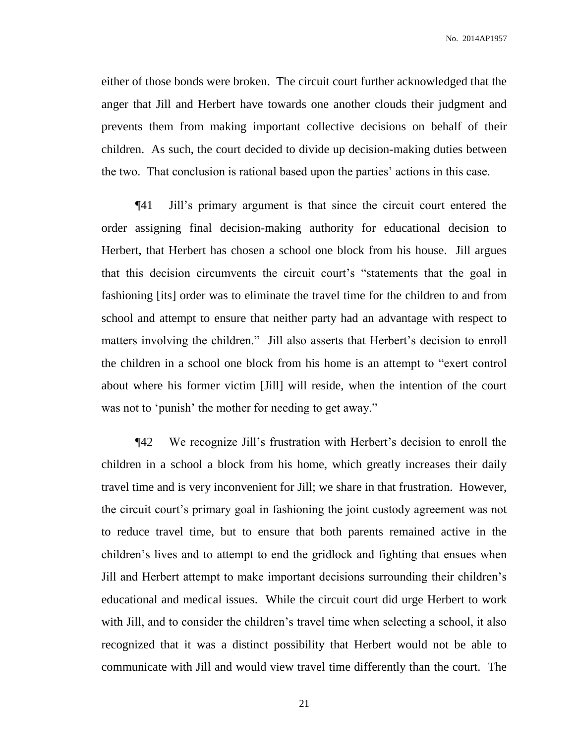either of those bonds were broken. The circuit court further acknowledged that the anger that Jill and Herbert have towards one another clouds their judgment and prevents them from making important collective decisions on behalf of their children. As such, the court decided to divide up decision-making duties between the two. That conclusion is rational based upon the parties' actions in this case.

¶41 Jill's primary argument is that since the circuit court entered the order assigning final decision-making authority for educational decision to Herbert, that Herbert has chosen a school one block from his house. Jill argues that this decision circumvents the circuit court's "statements that the goal in fashioning [its] order was to eliminate the travel time for the children to and from school and attempt to ensure that neither party had an advantage with respect to matters involving the children." Jill also asserts that Herbert's decision to enroll the children in a school one block from his home is an attempt to "exert control about where his former victim [Jill] will reside, when the intention of the court was not to 'punish' the mother for needing to get away."

¶42 We recognize Jill's frustration with Herbert's decision to enroll the children in a school a block from his home, which greatly increases their daily travel time and is very inconvenient for Jill; we share in that frustration. However, the circuit court's primary goal in fashioning the joint custody agreement was not to reduce travel time, but to ensure that both parents remained active in the children's lives and to attempt to end the gridlock and fighting that ensues when Jill and Herbert attempt to make important decisions surrounding their children's educational and medical issues. While the circuit court did urge Herbert to work with Jill, and to consider the children's travel time when selecting a school, it also recognized that it was a distinct possibility that Herbert would not be able to communicate with Jill and would view travel time differently than the court. The

21